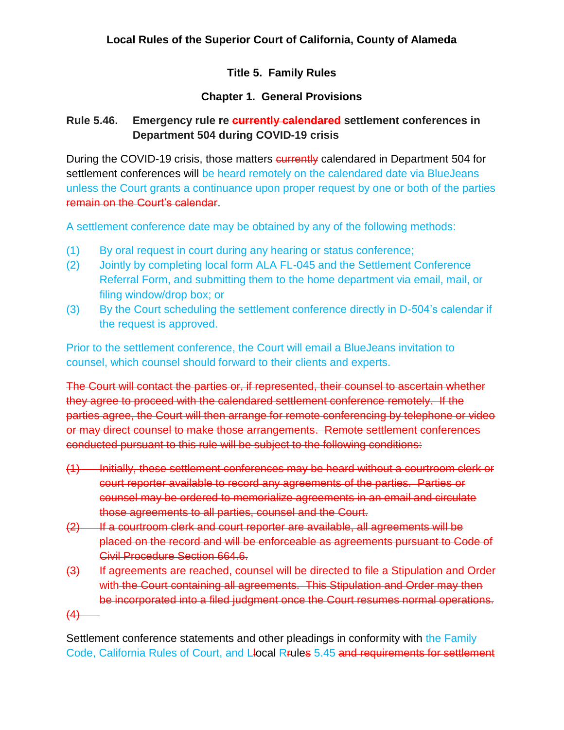# **Local Rules of the Superior Court of California, County of Alameda**

## **Title 5. Family Rules**

## **Chapter 1. General Provisions**

## **Rule 5.46. Emergency rule re currently calendared settlement conferences in Department 504 during COVID-19 crisis**

During the COVID-19 crisis, those matters **currently** calendared in Department 504 for settlement conferences will be heard remotely on the calendared date via BlueJeans unless the Court grants a continuance upon proper request by one or both of the parties remain on the Court's calendar.

A settlement conference date may be obtained by any of the following methods:

- (1) By oral request in court during any hearing or status conference;
- (2) Jointly by completing local form ALA FL-045 and the Settlement Conference Referral Form, and submitting them to the home department via email, mail, or filing window/drop box; or
- (3) By the Court scheduling the settlement conference directly in D-504's calendar if the request is approved.

Prior to the settlement conference, the Court will email a BlueJeans invitation to counsel, which counsel should forward to their clients and experts.

The Court will contact the parties or, if represented, their counsel to ascertain whether they agree to proceed with the calendared settlement conference remotely. If the parties agree, the Court will then arrange for remote conferencing by telephone or video or may direct counsel to make those arrangements. Remote settlement conferences conducted pursuant to this rule will be subject to the following conditions:

- (1) Initially, these settlement conferences may be heard without a courtroom clerk or court reporter available to record any agreements of the parties. Parties or counsel may be ordered to memorialize agreements in an email and circulate those agreements to all parties, counsel and the Court.
- (2) If a courtroom clerk and court reporter are available, all agreements will be placed on the record and will be enforceable as agreements pursuant to Code of Civil Procedure Section 664.6.
- (3) If agreements are reached, counsel will be directed to file a Stipulation and Order with the Court containing all agreements. This Stipulation and Order may then be incorporated into a filed judgment once the Court resumes normal operations.

 $(4)$ 

Settlement conference statements and other pleadings in conformity with the Family Code, California Rules of Court, and Llocal Rrules 5.45 and requirements for settlement